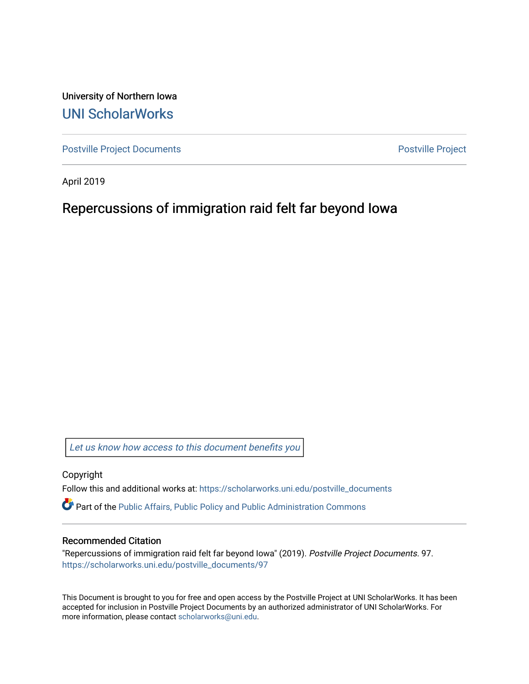University of Northern Iowa [UNI ScholarWorks](https://scholarworks.uni.edu/) 

[Postville Project Documents](https://scholarworks.uni.edu/postville_documents) **Postville Project** 

April 2019

## Repercussions of immigration raid felt far beyond Iowa

[Let us know how access to this document benefits you](https://scholarworks.uni.edu/feedback_form.html) 

Copyright

Follow this and additional works at: [https://scholarworks.uni.edu/postville\\_documents](https://scholarworks.uni.edu/postville_documents?utm_source=scholarworks.uni.edu%2Fpostville_documents%2F97&utm_medium=PDF&utm_campaign=PDFCoverPages) 

Part of the [Public Affairs, Public Policy and Public Administration Commons](http://network.bepress.com/hgg/discipline/393?utm_source=scholarworks.uni.edu%2Fpostville_documents%2F97&utm_medium=PDF&utm_campaign=PDFCoverPages) 

## Recommended Citation

"Repercussions of immigration raid felt far beyond Iowa" (2019). Postville Project Documents. 97. [https://scholarworks.uni.edu/postville\\_documents/97](https://scholarworks.uni.edu/postville_documents/97?utm_source=scholarworks.uni.edu%2Fpostville_documents%2F97&utm_medium=PDF&utm_campaign=PDFCoverPages) 

This Document is brought to you for free and open access by the Postville Project at UNI ScholarWorks. It has been accepted for inclusion in Postville Project Documents by an authorized administrator of UNI ScholarWorks. For more information, please contact [scholarworks@uni.edu.](mailto:scholarworks@uni.edu)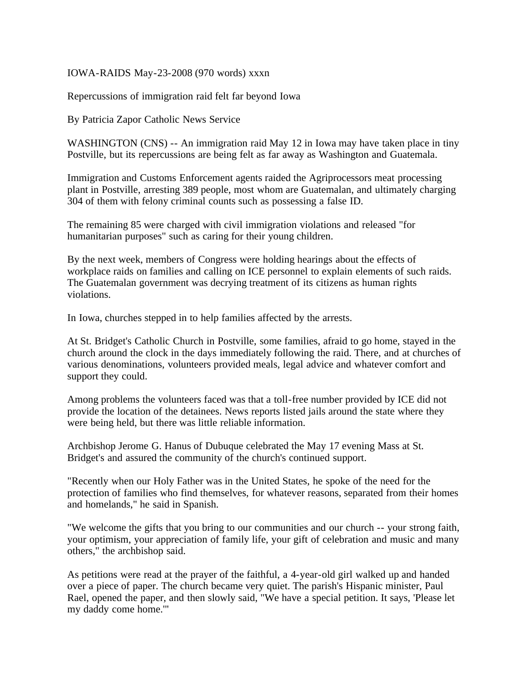## IOWA-RAIDS May-23-2008 (970 words) xxxn

Repercussions of immigration raid felt far beyond Iowa

By Patricia Zapor Catholic News Service

WASHINGTON (CNS) -- An immigration raid May 12 in Iowa may have taken place in tiny Postville, but its repercussions are being felt as far away as Washington and Guatemala.

Immigration and Customs Enforcement agents raided the Agriprocessors meat processing plant in Postville, arresting 389 people, most whom are Guatemalan, and ultimately charging 304 of them with felony criminal counts such as possessing a false ID.

The remaining 85 were charged with civil immigration violations and released "for humanitarian purposes" such as caring for their young children.

By the next week, members of Congress were holding hearings about the effects of workplace raids on families and calling on ICE personnel to explain elements of such raids. The Guatemalan government was decrying treatment of its citizens as human rights violations.

In Iowa, churches stepped in to help families affected by the arrests.

At St. Bridget's Catholic Church in Postville, some families, afraid to go home, stayed in the church around the clock in the days immediately following the raid. There, and at churches of various denominations, volunteers provided meals, legal advice and whatever comfort and support they could.

Among problems the volunteers faced was that a toll-free number provided by ICE did not provide the location of the detainees. News reports listed jails around the state where they were being held, but there was little reliable information.

Archbishop Jerome G. Hanus of Dubuque celebrated the May 17 evening Mass at St. Bridget's and assured the community of the church's continued support.

"Recently when our Holy Father was in the United States, he spoke of the need for the protection of families who find themselves, for whatever reasons, separated from their homes and homelands," he said in Spanish.

"We welcome the gifts that you bring to our communities and our church -- your strong faith, your optimism, your appreciation of family life, your gift of celebration and music and many others," the archbishop said.

As petitions were read at the prayer of the faithful, a 4-year-old girl walked up and handed over a piece of paper. The church became very quiet. The parish's Hispanic minister, Paul Rael, opened the paper, and then slowly said, "We have a special petition. It says, 'Please let my daddy come home.'"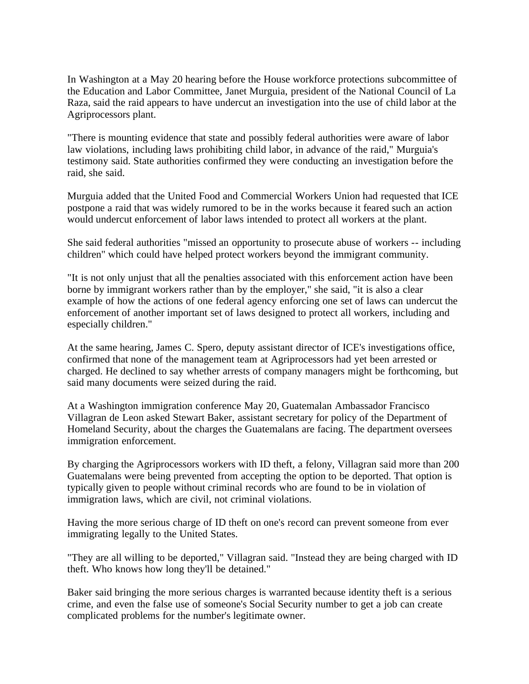In Washington at a May 20 hearing before the House workforce protections subcommittee of the Education and Labor Committee, Janet Murguia, president of the National Council of La Raza, said the raid appears to have undercut an investigation into the use of child labor at the Agriprocessors plant.

"There is mounting evidence that state and possibly federal authorities were aware of labor law violations, including laws prohibiting child labor, in advance of the raid," Murguia's testimony said. State authorities confirmed they were conducting an investigation before the raid, she said.

Murguia added that the United Food and Commercial Workers Union had requested that ICE postpone a raid that was widely rumored to be in the works because it feared such an action would undercut enforcement of labor laws intended to protect all workers at the plant.

She said federal authorities "missed an opportunity to prosecute abuse of workers -- including children" which could have helped protect workers beyond the immigrant community.

"It is not only unjust that all the penalties associated with this enforcement action have been borne by immigrant workers rather than by the employer," she said, "it is also a clear example of how the actions of one federal agency enforcing one set of laws can undercut the enforcement of another important set of laws designed to protect all workers, including and especially children."

At the same hearing, James C. Spero, deputy assistant director of ICE's investigations office, confirmed that none of the management team at Agriprocessors had yet been arrested or charged. He declined to say whether arrests of company managers might be forthcoming, but said many documents were seized during the raid.

At a Washington immigration conference May 20, Guatemalan Ambassador Francisco Villagran de Leon asked Stewart Baker, assistant secretary for policy of the Department of Homeland Security, about the charges the Guatemalans are facing. The department oversees immigration enforcement.

By charging the Agriprocessors workers with ID theft, a felony, Villagran said more than 200 Guatemalans were being prevented from accepting the option to be deported. That option is typically given to people without criminal records who are found to be in violation of immigration laws, which are civil, not criminal violations.

Having the more serious charge of ID theft on one's record can prevent someone from ever immigrating legally to the United States.

"They are all willing to be deported," Villagran said. "Instead they are being charged with ID theft. Who knows how long they'll be detained."

Baker said bringing the more serious charges is warranted because identity theft is a serious crime, and even the false use of someone's Social Security number to get a job can create complicated problems for the number's legitimate owner.